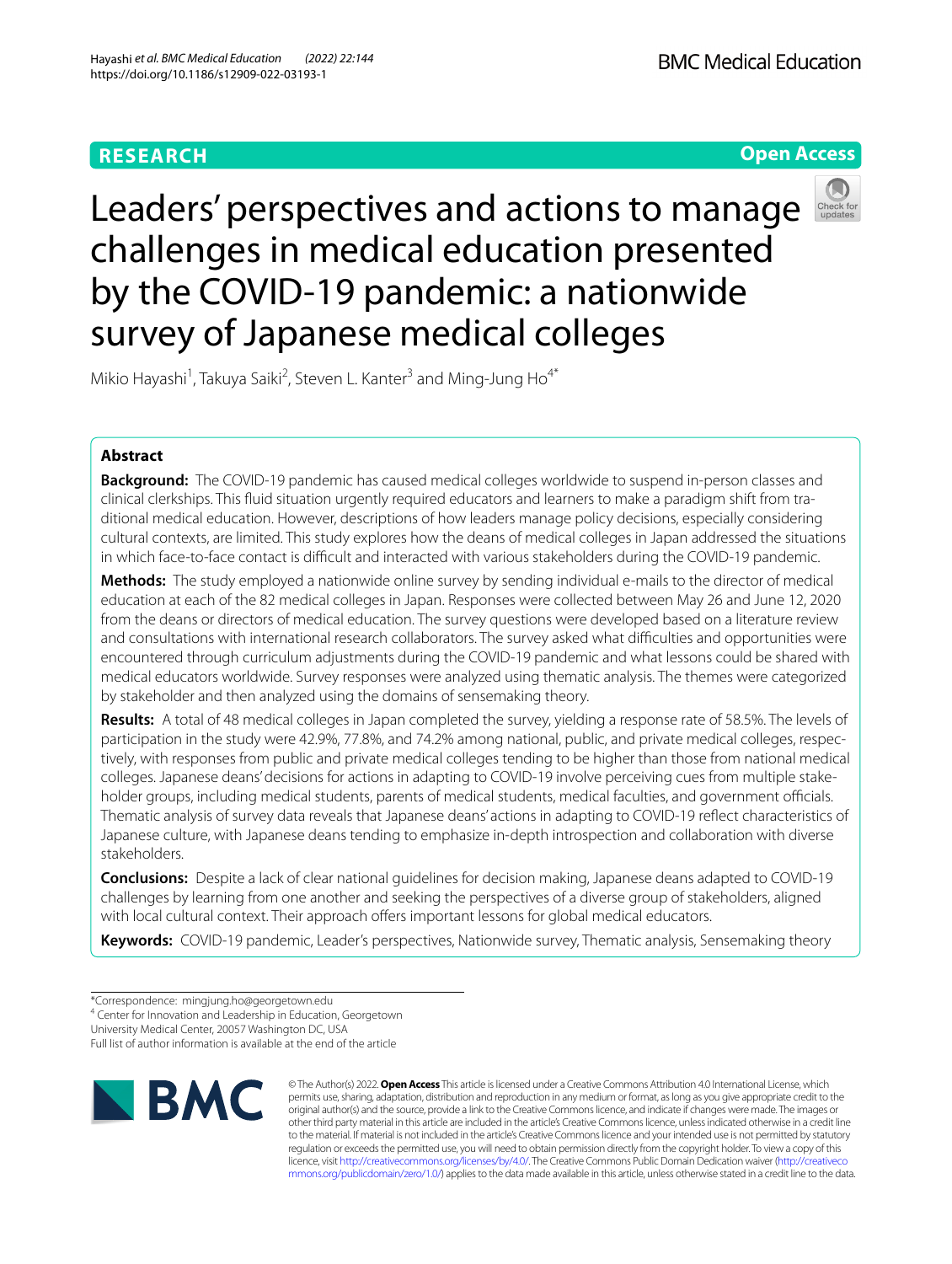# **RESEARCH**

**BMC Medical Education** 

**Open Access**

# Leaders' perspectives and actions to manage challenges in medical education presented by the COVID-19 pandemic: a nationwide survey of Japanese medical colleges



Mikio Hayashi<sup>1</sup>, Takuya Saiki<sup>2</sup>, Steven L. Kanter<sup>3</sup> and Ming-Jung Ho<sup>4\*</sup>

# **Abstract**

**Background:** The COVID-19 pandemic has caused medical colleges worldwide to suspend in-person classes and clinical clerkships. This fuid situation urgently required educators and learners to make a paradigm shift from tra‑ ditional medical education. However, descriptions of how leaders manage policy decisions, especially considering cultural contexts, are limited. This study explores how the deans of medical colleges in Japan addressed the situations in which face-to-face contact is difficult and interacted with various stakeholders during the COVID-19 pandemic.

**Methods:** The study employed a nationwide online survey by sending individual e-mails to the director of medical education at each of the 82 medical colleges in Japan. Responses were collected between May 26 and June 12, 2020 from the deans or directors of medical education. The survey questions were developed based on a literature review and consultations with international research collaborators. The survey asked what difculties and opportunities were encountered through curriculum adjustments during the COVID-19 pandemic and what lessons could be shared with medical educators worldwide. Survey responses were analyzed using thematic analysis. The themes were categorized by stakeholder and then analyzed using the domains of sensemaking theory.

**Results:** A total of 48 medical colleges in Japan completed the survey, yielding a response rate of 58.5%. The levels of participation in the study were 42.9%, 77.8%, and 74.2% among national, public, and private medical colleges, respectively, with responses from public and private medical colleges tending to be higher than those from national medical colleges. Japanese deans' decisions for actions in adapting to COVID-19 involve perceiving cues from multiple stakeholder groups, including medical students, parents of medical students, medical faculties, and government officials. Thematic analysis of survey data reveals that Japanese deans' actions in adapting to COVID-19 refect characteristics of Japanese culture, with Japanese deans tending to emphasize in-depth introspection and collaboration with diverse stakeholders.

**Conclusions:** Despite a lack of clear national guidelines for decision making, Japanese deans adapted to COVID-19 challenges by learning from one another and seeking the perspectives of a diverse group of stakeholders, aligned with local cultural context. Their approach offers important lessons for global medical educators.

**Keywords:** COVID-19 pandemic, Leader's perspectives, Nationwide survey, Thematic analysis, Sensemaking theory

<sup>4</sup> Center for Innovation and Leadership in Education, Georgetown

University Medical Center, 20057 Washington DC, USA

Full list of author information is available at the end of the article



© The Author(s) 2022. **Open Access** This article is licensed under a Creative Commons Attribution 4.0 International License, which permits use, sharing, adaptation, distribution and reproduction in any medium or format, as long as you give appropriate credit to the original author(s) and the source, provide a link to the Creative Commons licence, and indicate if changes were made. The images or other third party material in this article are included in the article's Creative Commons licence, unless indicated otherwise in a credit line to the material. If material is not included in the article's Creative Commons licence and your intended use is not permitted by statutory regulation or exceeds the permitted use, you will need to obtain permission directly from the copyright holder. To view a copy of this licence, visit [http://creativecommons.org/licenses/by/4.0/.](http://creativecommons.org/licenses/by/4.0/) The Creative Commons Public Domain Dedication waiver ([http://creativeco](http://creativecommons.org/publicdomain/zero/1.0/) [mmons.org/publicdomain/zero/1.0/](http://creativecommons.org/publicdomain/zero/1.0/)) applies to the data made available in this article, unless otherwise stated in a credit line to the data.

<sup>\*</sup>Correspondence: mingjung.ho@georgetown.edu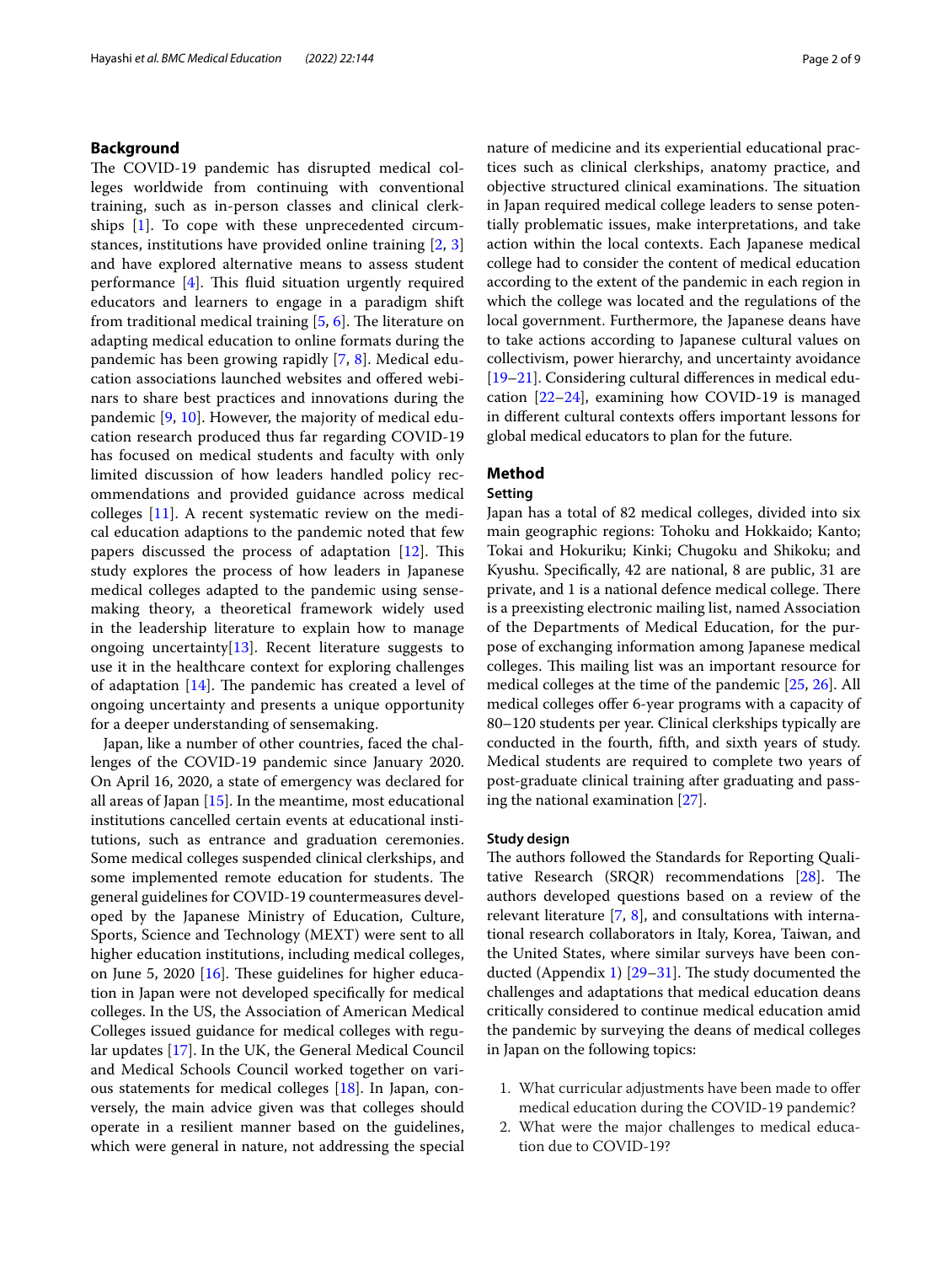# **Background**

The COVID-19 pandemic has disrupted medical colleges worldwide from continuing with conventional training, such as in-person classes and clinical clerkships [[1\]](#page-7-0). To cope with these unprecedented circumstances, institutions have provided online training [\[2](#page-7-1), [3](#page-7-2)] and have explored alternative means to assess student performance  $[4]$  $[4]$ . This fluid situation urgently required educators and learners to engage in a paradigm shift from traditional medical training  $[5, 6]$  $[5, 6]$  $[5, 6]$  $[5, 6]$ . The literature on adapting medical education to online formats during the pandemic has been growing rapidly [[7,](#page-7-6) [8\]](#page-7-7). Medical education associations launched websites and ofered webinars to share best practices and innovations during the pandemic [\[9](#page-7-8), [10\]](#page-7-9). However, the majority of medical education research produced thus far regarding COVID-19 has focused on medical students and faculty with only limited discussion of how leaders handled policy recommendations and provided guidance across medical colleges [\[11](#page-7-10)]. A recent systematic review on the medical education adaptions to the pandemic noted that few papers discussed the process of adaptation  $[12]$  $[12]$ . This study explores the process of how leaders in Japanese medical colleges adapted to the pandemic using sensemaking theory, a theoretical framework widely used in the leadership literature to explain how to manage ongoing uncertainty $[13]$  $[13]$ . Recent literature suggests to use it in the healthcare context for exploring challenges of adaptation  $[14]$  $[14]$ . The pandemic has created a level of ongoing uncertainty and presents a unique opportunity for a deeper understanding of sensemaking.

Japan, like a number of other countries, faced the challenges of the COVID-19 pandemic since January 2020. On April 16, 2020, a state of emergency was declared for all areas of Japan [\[15](#page-8-0)]. In the meantime, most educational institutions cancelled certain events at educational institutions, such as entrance and graduation ceremonies. Some medical colleges suspended clinical clerkships, and some implemented remote education for students. The general guidelines for COVID-19 countermeasures developed by the Japanese Ministry of Education, Culture, Sports, Science and Technology (MEXT) were sent to all higher education institutions, including medical colleges, on June 5, 2020  $[16]$  $[16]$ . These guidelines for higher education in Japan were not developed specifcally for medical colleges. In the US, the Association of American Medical Colleges issued guidance for medical colleges with regular updates [[17\]](#page-8-2). In the UK, the General Medical Council and Medical Schools Council worked together on various statements for medical colleges [\[18](#page-8-3)]. In Japan, conversely, the main advice given was that colleges should operate in a resilient manner based on the guidelines, which were general in nature, not addressing the special nature of medicine and its experiential educational practices such as clinical clerkships, anatomy practice, and objective structured clinical examinations. The situation in Japan required medical college leaders to sense potentially problematic issues, make interpretations, and take action within the local contexts. Each Japanese medical college had to consider the content of medical education according to the extent of the pandemic in each region in which the college was located and the regulations of the local government. Furthermore, the Japanese deans have to take actions according to Japanese cultural values on collectivism, power hierarchy, and uncertainty avoidance [[19–](#page-8-4)[21\]](#page-8-5). Considering cultural diferences in medical education [\[22](#page-8-6)[–24](#page-8-7)], examining how COVID-19 is managed in different cultural contexts offers important lessons for global medical educators to plan for the future.

# **Method**

## **Setting**

Japan has a total of 82 medical colleges, divided into six main geographic regions: Tohoku and Hokkaido; Kanto; Tokai and Hokuriku; Kinki; Chugoku and Shikoku; and Kyushu. Specifcally, 42 are national, 8 are public, 31 are private, and 1 is a national defence medical college. There is a preexisting electronic mailing list, named Association of the Departments of Medical Education, for the purpose of exchanging information among Japanese medical colleges. This mailing list was an important resource for medical colleges at the time of the pandemic [[25,](#page-8-8) [26](#page-8-9)]. All medical colleges offer 6-year programs with a capacity of 80–120 students per year. Clinical clerkships typically are conducted in the fourth, ffth, and sixth years of study. Medical students are required to complete two years of post-graduate clinical training after graduating and passing the national examination [\[27\]](#page-8-10).

#### **Study design**

The authors followed the Standards for Reporting Qualitative Research  $(SRQR)$  recommendations [[28\]](#page-8-11). The authors developed questions based on a review of the relevant literature [[7,](#page-7-6) [8\]](#page-7-7), and consultations with international research collaborators in Italy, Korea, Taiwan, and the United States, where similar surveys have been con-ducted (Appendix [1](#page-7-14))  $[29-31]$  $[29-31]$ . The study documented the challenges and adaptations that medical education deans critically considered to continue medical education amid the pandemic by surveying the deans of medical colleges in Japan on the following topics:

- 1. What curricular adjustments have been made to ofer medical education during the COVID-19 pandemic?
- 2. What were the major challenges to medical education due to COVID-19?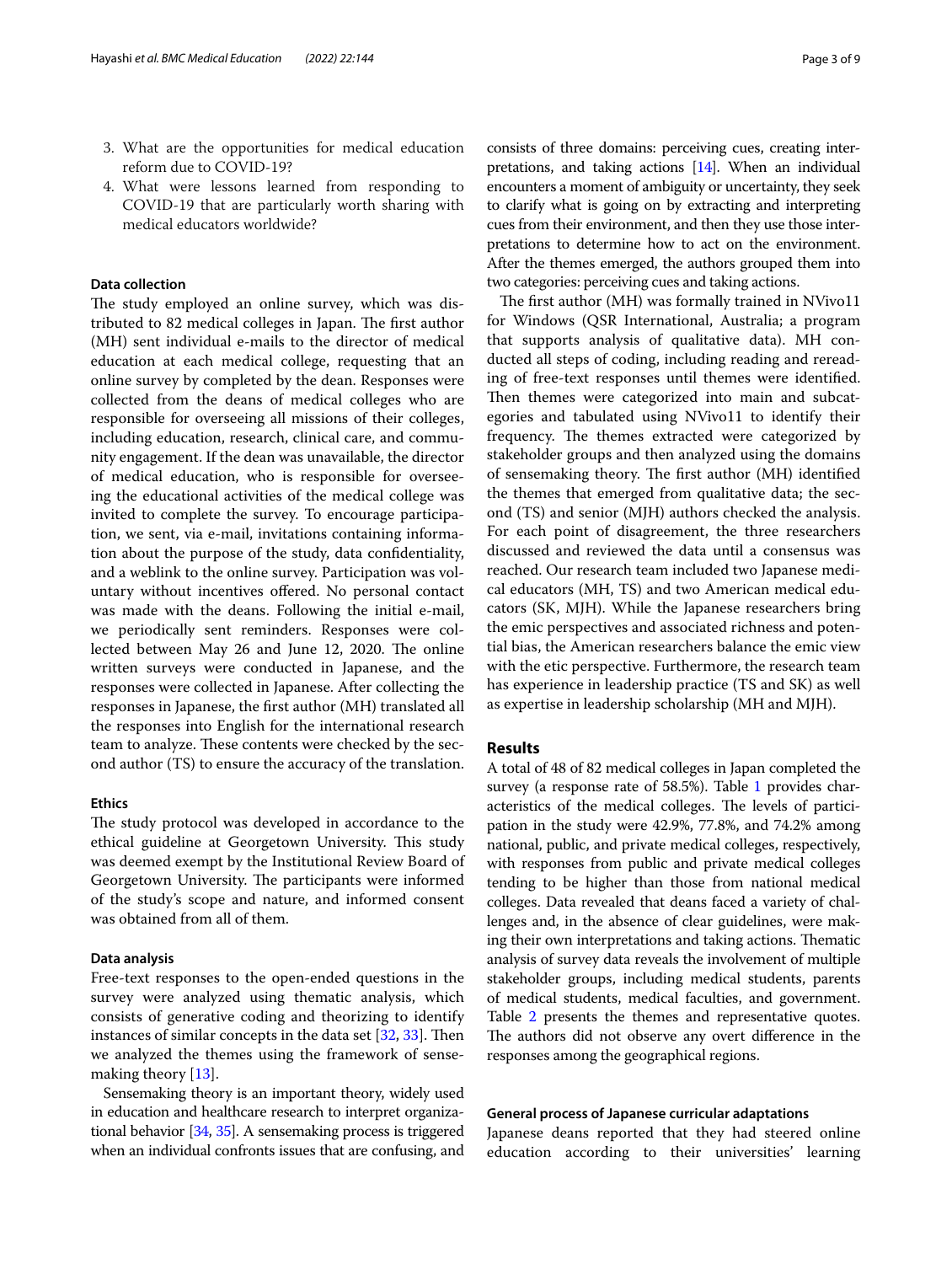- 3. What are the opportunities for medical education reform due to COVID-19?
- 4. What were lessons learned from responding to COVID-19 that are particularly worth sharing with medical educators worldwide?

# **Data collection**

The study employed an online survey, which was distributed to 82 medical colleges in Japan. The first author (MH) sent individual e-mails to the director of medical education at each medical college, requesting that an online survey by completed by the dean. Responses were collected from the deans of medical colleges who are responsible for overseeing all missions of their colleges, including education, research, clinical care, and community engagement. If the dean was unavailable, the director of medical education, who is responsible for overseeing the educational activities of the medical college was invited to complete the survey. To encourage participation, we sent, via e-mail, invitations containing information about the purpose of the study, data confdentiality, and a weblink to the online survey. Participation was voluntary without incentives ofered. No personal contact was made with the deans. Following the initial e-mail, we periodically sent reminders. Responses were collected between May 26 and June 12, 2020. The online written surveys were conducted in Japanese, and the responses were collected in Japanese. After collecting the responses in Japanese, the frst author (MH) translated all the responses into English for the international research team to analyze. These contents were checked by the second author (TS) to ensure the accuracy of the translation.

#### **Ethics**

The study protocol was developed in accordance to the ethical guideline at Georgetown University. This study was deemed exempt by the Institutional Review Board of Georgetown University. The participants were informed of the study's scope and nature, and informed consent was obtained from all of them.

#### **Data analysis**

Free-text responses to the open-ended questions in the survey were analyzed using thematic analysis, which consists of generative coding and theorizing to identify instances of similar concepts in the data set  $[32, 33]$  $[32, 33]$  $[32, 33]$  $[32, 33]$ . Then we analyzed the themes using the framework of sensemaking theory [[13\]](#page-7-12).

Sensemaking theory is an important theory, widely used in education and healthcare research to interpret organizational behavior [\[34,](#page-8-16) [35\]](#page-8-17). A sensemaking process is triggered when an individual confronts issues that are confusing, and

consists of three domains: perceiving cues, creating interpretations, and taking actions [\[14\]](#page-7-13). When an individual encounters a moment of ambiguity or uncertainty, they seek to clarify what is going on by extracting and interpreting cues from their environment, and then they use those interpretations to determine how to act on the environment. After the themes emerged, the authors grouped them into two categories: perceiving cues and taking actions.

The first author (MH) was formally trained in NVivo11 for Windows (QSR International, Australia; a program that supports analysis of qualitative data). MH conducted all steps of coding, including reading and rereading of free-text responses until themes were identifed. Then themes were categorized into main and subcategories and tabulated using NVivo11 to identify their frequency. The themes extracted were categorized by stakeholder groups and then analyzed using the domains of sensemaking theory. The first author (MH) identified the themes that emerged from qualitative data; the second (TS) and senior (MJH) authors checked the analysis. For each point of disagreement, the three researchers discussed and reviewed the data until a consensus was reached. Our research team included two Japanese medical educators (MH, TS) and two American medical educators (SK, MJH). While the Japanese researchers bring the emic perspectives and associated richness and potential bias, the American researchers balance the emic view with the etic perspective. Furthermore, the research team has experience in leadership practice (TS and SK) as well as expertise in leadership scholarship (MH and MJH).

# **Results**

A total of 48 of 82 medical colleges in Japan completed the survey (a response rate of 58.5%). Table [1](#page-3-0) provides characteristics of the medical colleges. The levels of participation in the study were 42.9%, 77.8%, and 74.2% among national, public, and private medical colleges, respectively, with responses from public and private medical colleges tending to be higher than those from national medical colleges. Data revealed that deans faced a variety of challenges and, in the absence of clear guidelines, were making their own interpretations and taking actions. Thematic analysis of survey data reveals the involvement of multiple stakeholder groups, including medical students, parents of medical students, medical faculties, and government. Table [2](#page-4-0) presents the themes and representative quotes. The authors did not observe any overt difference in the responses among the geographical regions.

#### **General process of Japanese curricular adaptations**

Japanese deans reported that they had steered online education according to their universities' learning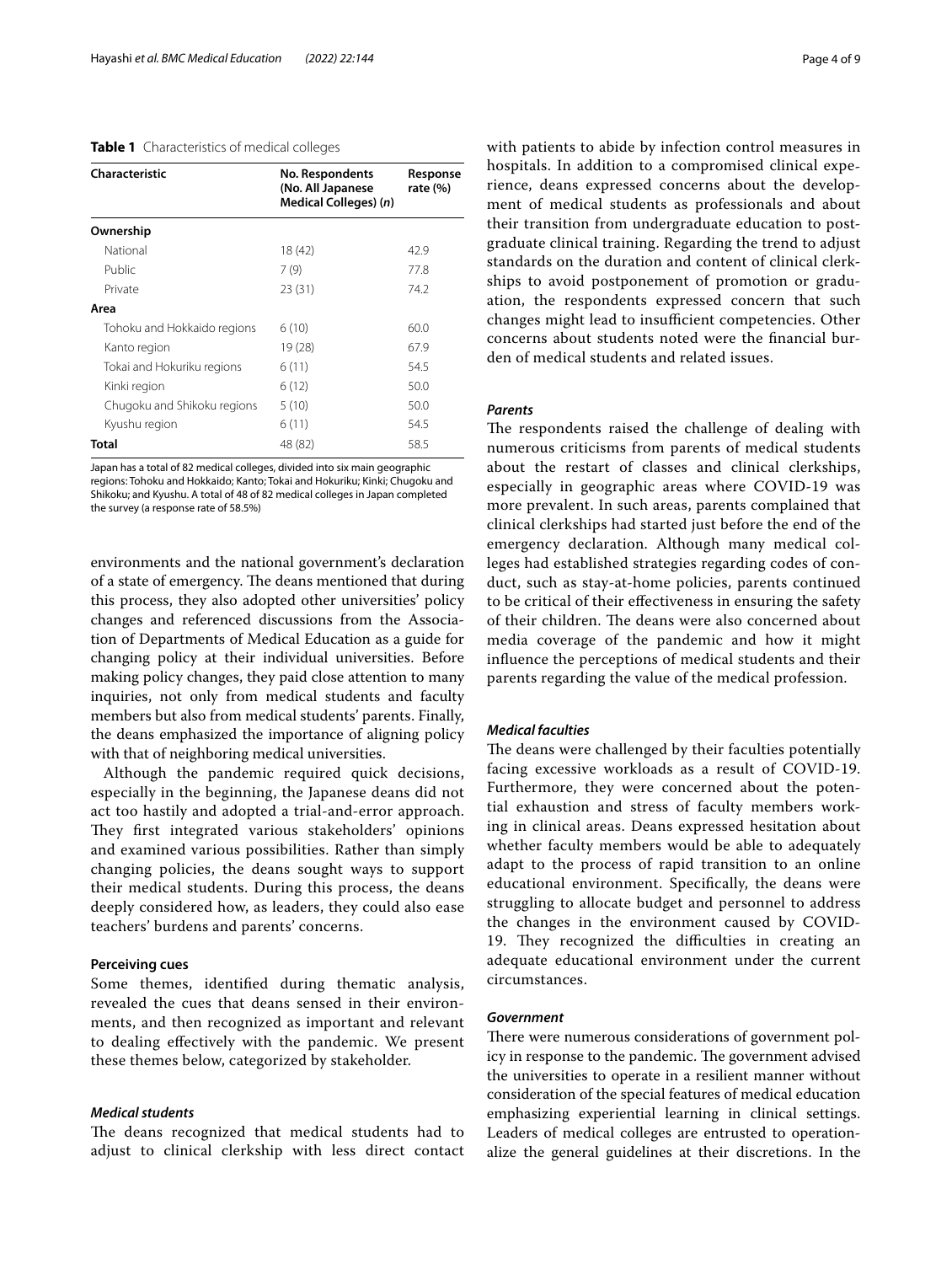#### <span id="page-3-0"></span>**Table 1** Characteristics of medical colleges

| Characteristic              | No. Respondents<br>(No. All Japanese<br>Medical Colleges) (n) | Response<br>rate $(\%)$ |
|-----------------------------|---------------------------------------------------------------|-------------------------|
| Ownership                   |                                                               |                         |
| National                    | 18 (42)                                                       | 42.9                    |
| Public                      | 7(9)                                                          | 77.8                    |
| Private                     | 23 (31)                                                       | 74.2                    |
| Area                        |                                                               |                         |
| Tohoku and Hokkaido regions | 6(10)                                                         | 60.0                    |
| Kanto region                | 19 (28)                                                       | 67.9                    |
| Tokai and Hokuriku regions  | 6(11)                                                         | 54.5                    |
| Kinki region                | 6(12)                                                         | 50.0                    |
| Chugoku and Shikoku regions | 5(10)                                                         | 50.0                    |
| Kyushu region               | 6(11)                                                         | 54.5                    |
| Total                       | 48 (82)                                                       | 58.5                    |

Japan has a total of 82 medical colleges, divided into six main geographic regions: Tohoku and Hokkaido; Kanto; Tokai and Hokuriku; Kinki; Chugoku and Shikoku; and Kyushu. A total of 48 of 82 medical colleges in Japan completed the survey (a response rate of 58.5%)

environments and the national government's declaration of a state of emergency. The deans mentioned that during this process, they also adopted other universities' policy changes and referenced discussions from the Association of Departments of Medical Education as a guide for changing policy at their individual universities. Before making policy changes, they paid close attention to many inquiries, not only from medical students and faculty members but also from medical students' parents. Finally, the deans emphasized the importance of aligning policy with that of neighboring medical universities.

Although the pandemic required quick decisions, especially in the beginning, the Japanese deans did not act too hastily and adopted a trial-and-error approach. They first integrated various stakeholders' opinions and examined various possibilities. Rather than simply changing policies, the deans sought ways to support their medical students. During this process, the deans deeply considered how, as leaders, they could also ease teachers' burdens and parents' concerns.

# **Perceiving cues**

Some themes, identifed during thematic analysis, revealed the cues that deans sensed in their environments, and then recognized as important and relevant to dealing efectively with the pandemic. We present these themes below, categorized by stakeholder.

#### *Medical students*

The deans recognized that medical students had to adjust to clinical clerkship with less direct contact with patients to abide by infection control measures in hospitals. In addition to a compromised clinical experience, deans expressed concerns about the development of medical students as professionals and about their transition from undergraduate education to postgraduate clinical training. Regarding the trend to adjust standards on the duration and content of clinical clerkships to avoid postponement of promotion or graduation, the respondents expressed concern that such changes might lead to insufficient competencies. Other concerns about students noted were the fnancial burden of medical students and related issues.

# *Parents*

The respondents raised the challenge of dealing with numerous criticisms from parents of medical students about the restart of classes and clinical clerkships, especially in geographic areas where COVID-19 was more prevalent. In such areas, parents complained that clinical clerkships had started just before the end of the emergency declaration. Although many medical colleges had established strategies regarding codes of conduct, such as stay-at-home policies, parents continued to be critical of their efectiveness in ensuring the safety of their children. The deans were also concerned about media coverage of the pandemic and how it might infuence the perceptions of medical students and their parents regarding the value of the medical profession.

## *Medical faculties*

The deans were challenged by their faculties potentially facing excessive workloads as a result of COVID-19. Furthermore, they were concerned about the potential exhaustion and stress of faculty members working in clinical areas. Deans expressed hesitation about whether faculty members would be able to adequately adapt to the process of rapid transition to an online educational environment. Specifcally, the deans were struggling to allocate budget and personnel to address the changes in the environment caused by COVID-19. They recognized the difficulties in creating an adequate educational environment under the current circumstances.

#### *Government*

There were numerous considerations of government policy in response to the pandemic. The government advised the universities to operate in a resilient manner without consideration of the special features of medical education emphasizing experiential learning in clinical settings. Leaders of medical colleges are entrusted to operationalize the general guidelines at their discretions. In the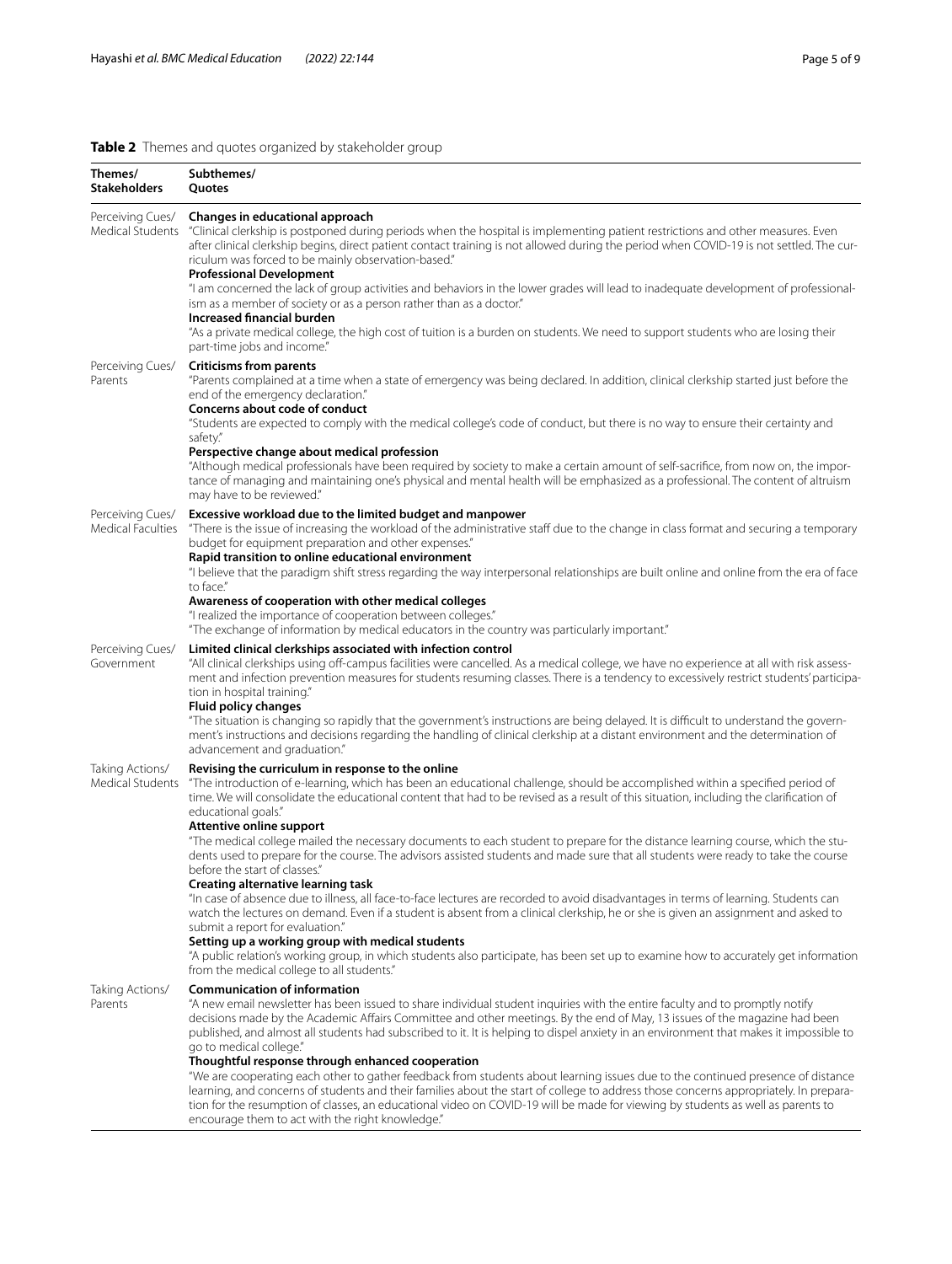# <span id="page-4-0"></span>**Table 2** Themes and quotes organized by stakeholder group

| Themes/<br><b>Stakeholders</b>        | Subthemes/<br><b>Ouotes</b>                                                                                                                                                                                                                                                                                                                                                                                                                                                                                                                                                                                                                                                                                                                                                                                                                                                                                                                                                                                                                                                                                                                                                                                                                                                                 |
|---------------------------------------|---------------------------------------------------------------------------------------------------------------------------------------------------------------------------------------------------------------------------------------------------------------------------------------------------------------------------------------------------------------------------------------------------------------------------------------------------------------------------------------------------------------------------------------------------------------------------------------------------------------------------------------------------------------------------------------------------------------------------------------------------------------------------------------------------------------------------------------------------------------------------------------------------------------------------------------------------------------------------------------------------------------------------------------------------------------------------------------------------------------------------------------------------------------------------------------------------------------------------------------------------------------------------------------------|
| Perceiving Cues/                      | Changes in educational approach<br>Medical Students "Clinical clerkship is postponed during periods when the hospital is implementing patient restrictions and other measures. Even<br>after clinical clerkship begins, direct patient contact training is not allowed during the period when COVID-19 is not settled. The cur-<br>riculum was forced to be mainly observation-based."<br><b>Professional Development</b><br>"I am concerned the lack of group activities and behaviors in the lower grades will lead to inadequate development of professional-<br>ism as a member of society or as a person rather than as a doctor."<br><b>Increased financial burden</b><br>"As a private medical college, the high cost of tuition is a burden on students. We need to support students who are losing their<br>part-time jobs and income."                                                                                                                                                                                                                                                                                                                                                                                                                                            |
| Perceiving Cues/<br>Parents           | <b>Criticisms from parents</b><br>"Parents complained at a time when a state of emergency was being declared. In addition, clinical clerkship started just before the<br>end of the emergency declaration."<br>Concerns about code of conduct<br>"Students are expected to comply with the medical college's code of conduct, but there is no way to ensure their certainty and<br>safety."<br>Perspective change about medical profession<br>"Although medical professionals have been required by society to make a certain amount of self-sacrifice, from now on, the impor-<br>tance of managing and maintaining one's physical and mental health will be emphasized as a professional. The content of altruism<br>may have to be reviewed."                                                                                                                                                                                                                                                                                                                                                                                                                                                                                                                                            |
| Perceiving Cues/<br>Medical Faculties | Excessive workload due to the limited budget and manpower<br>"There is the issue of increasing the workload of the administrative staff due to the change in class format and securing a temporary<br>budget for equipment preparation and other expenses."<br>Rapid transition to online educational environment<br>"I believe that the paradigm shift stress regarding the way interpersonal relationships are built online and online from the era of face<br>to face."<br>Awareness of cooperation with other medical colleges<br>"I realized the importance of cooperation between colleges."<br>"The exchange of information by medical educators in the country was particularly important."                                                                                                                                                                                                                                                                                                                                                                                                                                                                                                                                                                                         |
| Perceiving Cues/<br>Government        | Limited clinical clerkships associated with infection control<br>"All clinical clerkships using off-campus facilities were cancelled. As a medical college, we have no experience at all with risk assess-<br>ment and infection prevention measures for students resuming classes. There is a tendency to excessively restrict students' participa-<br>tion in hospital training."<br><b>Fluid policy changes</b><br>"The situation is changing so rapidly that the government's instructions are being delayed. It is difficult to understand the govern-<br>ment's instructions and decisions regarding the handling of clinical clerkship at a distant environment and the determination of<br>advancement and graduation."                                                                                                                                                                                                                                                                                                                                                                                                                                                                                                                                                             |
| Taking Actions/<br>Medical Students   | Revising the curriculum in response to the online<br>"The introduction of e-learning, which has been an educational challenge, should be accomplished within a specified period of<br>time. We will consolidate the educational content that had to be revised as a result of this situation, including the clarification of<br>educational goals."<br>Attentive online support<br>"The medical college mailed the necessary documents to each student to prepare for the distance learning course, which the stu-<br>dents used to prepare for the course. The advisors assisted students and made sure that all students were ready to take the course<br>before the start of classes."<br>Creating alternative learning task<br>"In case of absence due to illness, all face-to-face lectures are recorded to avoid disadvantages in terms of learning. Students can<br>watch the lectures on demand. Even if a student is absent from a clinical clerkship, he or she is given an assignment and asked to<br>submit a report for evaluation."<br>Setting up a working group with medical students<br>"A public relation's working group, in which students also participate, has been set up to examine how to accurately get information<br>from the medical college to all students." |
| Taking Actions/<br>Parents            | <b>Communication of information</b><br>"A new email newsletter has been issued to share individual student inquiries with the entire faculty and to promptly notify<br>decisions made by the Academic Affairs Committee and other meetings. By the end of May, 13 issues of the magazine had been<br>published, and almost all students had subscribed to it. It is helping to dispel anxiety in an environment that makes it impossible to<br>go to medical college."<br>Thoughtful response through enhanced cooperation<br>"We are cooperating each other to gather feedback from students about learning issues due to the continued presence of distance                                                                                                                                                                                                                                                                                                                                                                                                                                                                                                                                                                                                                               |

learning, and concerns of students and their families about the start of college to address those concerns appropriately. In preparation for the resumption of classes, an educational video on COVID-19 will be made for viewing by students as well as parents to encourage them to act with the right knowledge."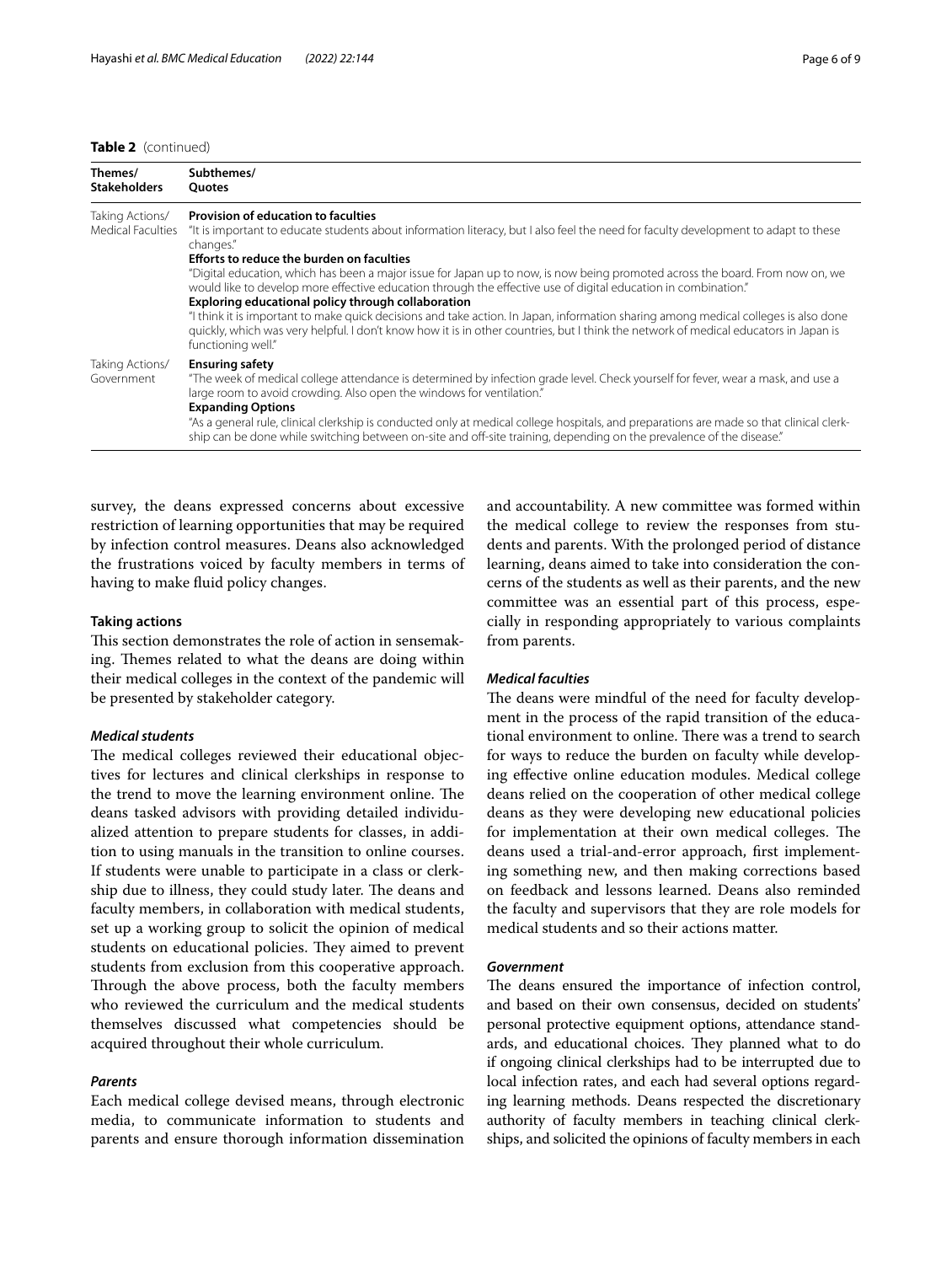#### **Table 2** (continued)

| Themes/<br><b>Stakeholders</b>       | Subthemes/<br><b>Ouotes</b>                                                                                                                                                                                                                                                                                                                                                                                                                                                                                                                                                                                |
|--------------------------------------|------------------------------------------------------------------------------------------------------------------------------------------------------------------------------------------------------------------------------------------------------------------------------------------------------------------------------------------------------------------------------------------------------------------------------------------------------------------------------------------------------------------------------------------------------------------------------------------------------------|
| Taking Actions/<br>Medical Faculties | Provision of education to faculties<br>"It is important to educate students about information literacy, but I also feel the need for faculty development to adapt to these<br>changes."<br>Efforts to reduce the burden on faculties                                                                                                                                                                                                                                                                                                                                                                       |
|                                      | "Digital education, which has been a major issue for Japan up to now, is now being promoted across the board. From now on, we<br>would like to develop more effective education through the effective use of digital education in combination."<br>Exploring educational policy through collaboration<br>"I think it is important to make quick decisions and take action. In Japan, information sharing among medical colleges is also done<br>quickly, which was very helpful. I don't know how it is in other countries, but I think the network of medical educators in Japan is<br>functioning well." |
| Taking Actions/<br>Government        | <b>Ensuring safety</b><br>"The week of medical college attendance is determined by infection grade level. Check yourself for fever, wear a mask, and use a<br>large room to avoid crowding. Also open the windows for ventilation."<br><b>Expanding Options</b><br>"As a general rule, clinical clerkship is conducted only at medical college hospitals, and preparations are made so that clinical clerk-<br>ship can be done while switching between on-site and off-site training, depending on the prevalence of the disease."                                                                        |

survey, the deans expressed concerns about excessive restriction of learning opportunities that may be required by infection control measures. Deans also acknowledged the frustrations voiced by faculty members in terms of

#### **Taking actions**

having to make fluid policy changes.

This section demonstrates the role of action in sensemaking. Themes related to what the deans are doing within their medical colleges in the context of the pandemic will be presented by stakeholder category.

#### *Medical students*

The medical colleges reviewed their educational objectives for lectures and clinical clerkships in response to the trend to move the learning environment online. The deans tasked advisors with providing detailed individualized attention to prepare students for classes, in addition to using manuals in the transition to online courses. If students were unable to participate in a class or clerkship due to illness, they could study later. The deans and faculty members, in collaboration with medical students, set up a working group to solicit the opinion of medical students on educational policies. They aimed to prevent students from exclusion from this cooperative approach. Through the above process, both the faculty members who reviewed the curriculum and the medical students themselves discussed what competencies should be acquired throughout their whole curriculum.

#### *Parents*

Each medical college devised means, through electronic media, to communicate information to students and parents and ensure thorough information dissemination and accountability. A new committee was formed within the medical college to review the responses from students and parents. With the prolonged period of distance learning, deans aimed to take into consideration the concerns of the students as well as their parents, and the new committee was an essential part of this process, especially in responding appropriately to various complaints from parents.

# *Medical faculties*

The deans were mindful of the need for faculty development in the process of the rapid transition of the educational environment to online. There was a trend to search for ways to reduce the burden on faculty while developing efective online education modules. Medical college deans relied on the cooperation of other medical college deans as they were developing new educational policies for implementation at their own medical colleges. The deans used a trial-and-error approach, frst implementing something new, and then making corrections based on feedback and lessons learned. Deans also reminded the faculty and supervisors that they are role models for medical students and so their actions matter.

# *Government*

The deans ensured the importance of infection control, and based on their own consensus, decided on students' personal protective equipment options, attendance standards, and educational choices. They planned what to do if ongoing clinical clerkships had to be interrupted due to local infection rates, and each had several options regarding learning methods. Deans respected the discretionary authority of faculty members in teaching clinical clerkships, and solicited the opinions of faculty members in each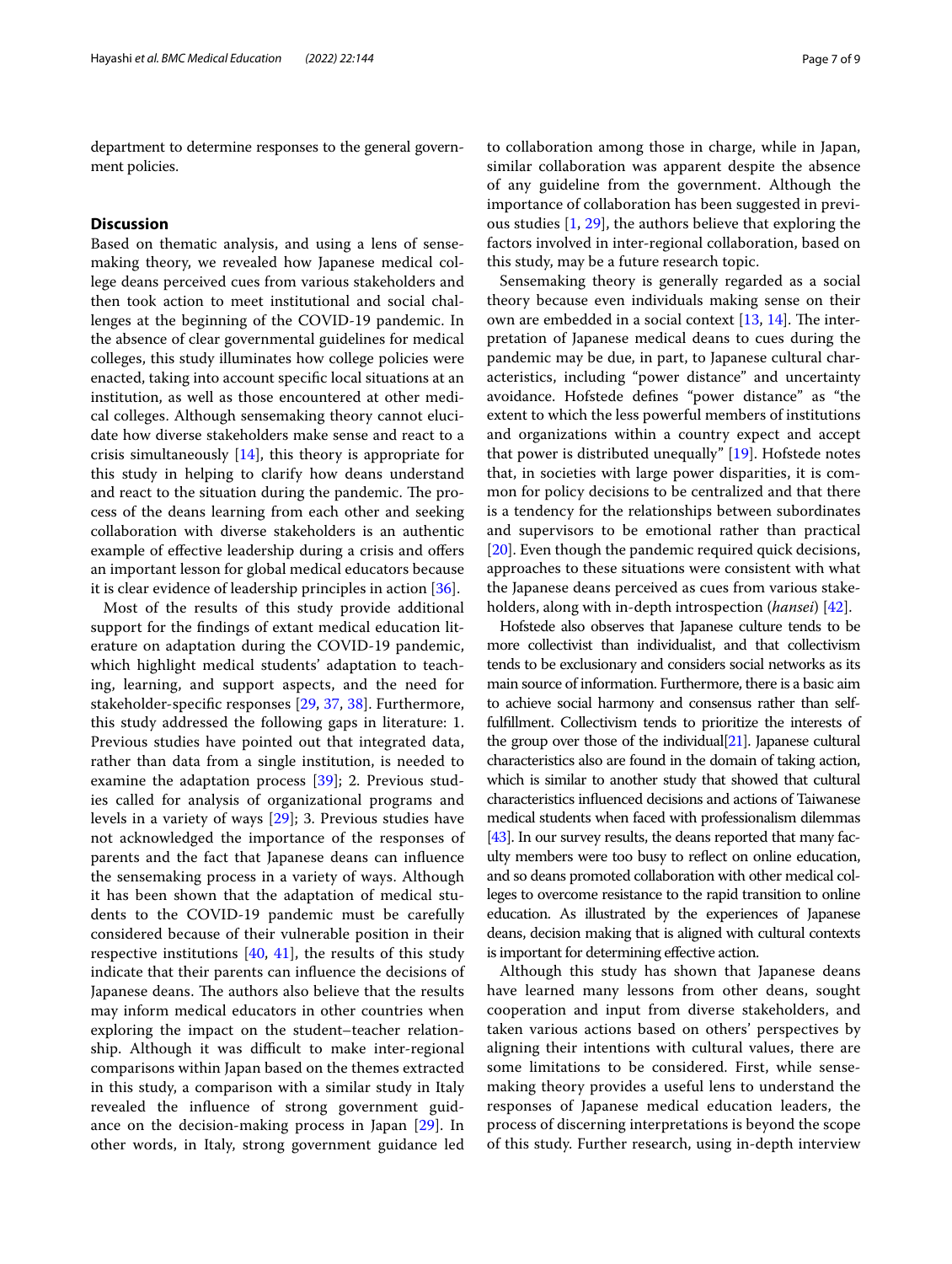department to determine responses to the general government policies.

# **Discussion**

Based on thematic analysis, and using a lens of sensemaking theory, we revealed how Japanese medical college deans perceived cues from various stakeholders and then took action to meet institutional and social challenges at the beginning of the COVID-19 pandemic. In the absence of clear governmental guidelines for medical colleges, this study illuminates how college policies were enacted, taking into account specifc local situations at an institution, as well as those encountered at other medical colleges. Although sensemaking theory cannot elucidate how diverse stakeholders make sense and react to a crisis simultaneously [[14\]](#page-7-13), this theory is appropriate for this study in helping to clarify how deans understand and react to the situation during the pandemic. The process of the deans learning from each other and seeking collaboration with diverse stakeholders is an authentic example of effective leadership during a crisis and offers an important lesson for global medical educators because it is clear evidence of leadership principles in action [[36\]](#page-8-18).

Most of the results of this study provide additional support for the fndings of extant medical education literature on adaptation during the COVID-19 pandemic, which highlight medical students' adaptation to teaching, learning, and support aspects, and the need for stakeholder-specifc responses [[29,](#page-8-12) [37,](#page-8-19) [38](#page-8-20)]. Furthermore, this study addressed the following gaps in literature: 1. Previous studies have pointed out that integrated data, rather than data from a single institution, is needed to examine the adaptation process [[39\]](#page-8-21); 2. Previous studies called for analysis of organizational programs and levels in a variety of ways [\[29](#page-8-12)]; 3. Previous studies have not acknowledged the importance of the responses of parents and the fact that Japanese deans can infuence the sensemaking process in a variety of ways. Although it has been shown that the adaptation of medical students to the COVID-19 pandemic must be carefully considered because of their vulnerable position in their respective institutions  $[40, 41]$  $[40, 41]$  $[40, 41]$  $[40, 41]$  $[40, 41]$ , the results of this study indicate that their parents can infuence the decisions of Japanese deans. The authors also believe that the results may inform medical educators in other countries when exploring the impact on the student–teacher relationship. Although it was difficult to make inter-regional comparisons within Japan based on the themes extracted in this study, a comparison with a similar study in Italy revealed the infuence of strong government guidance on the decision-making process in Japan [\[29](#page-8-12)]. In other words, in Italy, strong government guidance led to collaboration among those in charge, while in Japan, similar collaboration was apparent despite the absence of any guideline from the government. Although the importance of collaboration has been suggested in previous studies [\[1](#page-7-0), [29](#page-8-12)], the authors believe that exploring the factors involved in inter-regional collaboration, based on this study, may be a future research topic.

Sensemaking theory is generally regarded as a social theory because even individuals making sense on their own are embedded in a social context  $[13, 14]$  $[13, 14]$  $[13, 14]$ . The interpretation of Japanese medical deans to cues during the pandemic may be due, in part, to Japanese cultural characteristics, including "power distance" and uncertainty avoidance. Hofstede defnes "power distance" as "the extent to which the less powerful members of institutions and organizations within a country expect and accept that power is distributed unequally" [[19\]](#page-8-4). Hofstede notes that, in societies with large power disparities, it is common for policy decisions to be centralized and that there is a tendency for the relationships between subordinates and supervisors to be emotional rather than practical [[20\]](#page-8-24). Even though the pandemic required quick decisions, approaches to these situations were consistent with what the Japanese deans perceived as cues from various stakeholders, along with in-depth introspection (*hansei*) [\[42\]](#page-8-25).

Hofstede also observes that Japanese culture tends to be more collectivist than individualist, and that collectivism tends to be exclusionary and considers social networks as its main source of information. Furthermore, there is a basic aim to achieve social harmony and consensus rather than selffulfllment. Collectivism tends to prioritize the interests of the group over those of the individual[\[21](#page-8-5)]. Japanese cultural characteristics also are found in the domain of taking action, which is similar to another study that showed that cultural characteristics infuenced decisions and actions of Taiwanese medical students when faced with professionalism dilemmas [[43\]](#page-8-26). In our survey results, the deans reported that many faculty members were too busy to refect on online education, and so deans promoted collaboration with other medical colleges to overcome resistance to the rapid transition to online education. As illustrated by the experiences of Japanese deans, decision making that is aligned with cultural contexts is important for determining efective action.

Although this study has shown that Japanese deans have learned many lessons from other deans, sought cooperation and input from diverse stakeholders, and taken various actions based on others' perspectives by aligning their intentions with cultural values, there are some limitations to be considered. First, while sensemaking theory provides a useful lens to understand the responses of Japanese medical education leaders, the process of discerning interpretations is beyond the scope of this study. Further research, using in-depth interview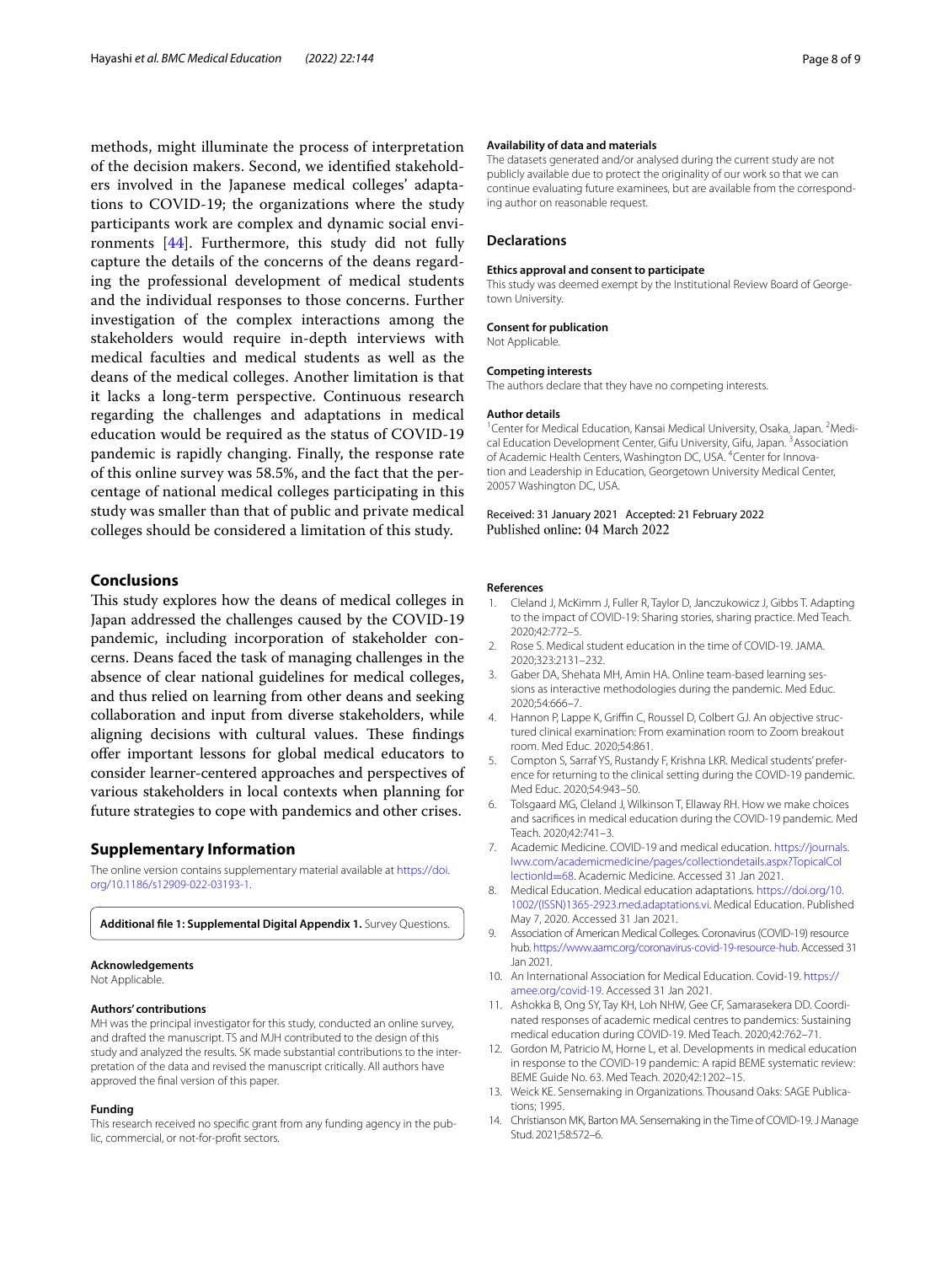methods, might illuminate the process of interpretation of the decision makers. Second, we identifed stakeholders involved in the Japanese medical colleges' adaptations to COVID-19; the organizations where the study participants work are complex and dynamic social environments [\[44](#page-8-27)]. Furthermore, this study did not fully capture the details of the concerns of the deans regarding the professional development of medical students and the individual responses to those concerns. Further investigation of the complex interactions among the stakeholders would require in-depth interviews with medical faculties and medical students as well as the deans of the medical colleges. Another limitation is that it lacks a long-term perspective. Continuous research regarding the challenges and adaptations in medical education would be required as the status of COVID-19 pandemic is rapidly changing. Finally, the response rate of this online survey was 58.5%, and the fact that the percentage of national medical colleges participating in this study was smaller than that of public and private medical colleges should be considered a limitation of this study.

#### **Conclusions**

This study explores how the deans of medical colleges in Japan addressed the challenges caused by the COVID-19 pandemic, including incorporation of stakeholder concerns. Deans faced the task of managing challenges in the absence of clear national guidelines for medical colleges, and thus relied on learning from other deans and seeking collaboration and input from diverse stakeholders, while aligning decisions with cultural values. These findings ofer important lessons for global medical educators to consider learner-centered approaches and perspectives of various stakeholders in local contexts when planning for future strategies to cope with pandemics and other crises.

#### **Supplementary Information**

The online version contains supplementary material available at [https://doi.](https://doi.org/10.1186/s12909-022-03193-1) [org/10.1186/s12909-022-03193-1](https://doi.org/10.1186/s12909-022-03193-1).

<span id="page-7-14"></span>**Additional fle 1: Supplemental Digital Appendix 1.** Survey Questions.

# **Acknowledgements**

Not Applicable.

#### **Authors' contributions**

MH was the principal investigator for this study, conducted an online survey, and drafted the manuscript. TS and MJH contributed to the design of this study and analyzed the results. SK made substantial contributions to the interpretation of the data and revised the manuscript critically. All authors have approved the fnal version of this paper.

#### **Funding**

This research received no specific grant from any funding agency in the public, commercial, or not-for-proft sectors.

#### **Availability of data and materials**

The datasets generated and/or analysed during the current study are not publicly available due to protect the originality of our work so that we can continue evaluating future examinees, but are available from the corresponding author on reasonable request.

#### **Declarations**

#### **Ethics approval and consent to participate**

This study was deemed exempt by the Institutional Review Board of Georgetown University.

#### **Consent for publication**

Not Applicable.

#### **Competing interests**

The authors declare that they have no competing interests.

#### **Author details**

<sup>1</sup> Center for Medical Education, Kansai Medical University, Osaka, Japan. <sup>2</sup> Medical Education Development Center, Gifu University, Gifu, Japan.<sup>3</sup> Association of Academic Health Centers, Washington DC, USA. <sup>4</sup> Center for Innovation and Leadership in Education, Georgetown University Medical Center, 20057 Washington DC, USA.

Received: 31 January 2021 Accepted: 21 February 2022 Published online: 04 March 2022

#### **References**

- <span id="page-7-0"></span>1. Cleland J, McKimm J, Fuller R, Taylor D, Janczukowicz J, Gibbs T. Adapting to the impact of COVID-19: Sharing stories, sharing practice. Med Teach. 2020;42:772–5.
- <span id="page-7-1"></span>2. Rose S. Medical student education in the time of COVID-19. JAMA. 2020;323:2131–232.
- <span id="page-7-2"></span>3. Gaber DA, Shehata MH, Amin HA. Online team-based learning sessions as interactive methodologies during the pandemic. Med Educ. 2020;54:666–7.
- <span id="page-7-3"></span>4. Hannon P, Lappe K, Griffin C, Roussel D, Colbert GJ, An objective structured clinical examination: From examination room to Zoom breakout room. Med Educ. 2020;54:861.
- <span id="page-7-4"></span>5. Compton S, Sarraf YS, Rustandy F, Krishna LKR. Medical students' prefer‑ ence for returning to the clinical setting during the COVID-19 pandemic. Med Educ. 2020;54:943–50.
- <span id="page-7-5"></span>6. Tolsgaard MG, Cleland J, Wilkinson T, Ellaway RH. How we make choices and sacrifces in medical education during the COVID-19 pandemic. Med Teach. 2020;42:741–3.
- <span id="page-7-6"></span>7. Academic Medicine. COVID-19 and medical education. [https://journals.](https://journals.lww.com/academicmedicine/pages/collectiondetails.aspx?TopicalCollectionId=68) [lww.com/academicmedicine/pages/collectiondetails.aspx?TopicalCol](https://journals.lww.com/academicmedicine/pages/collectiondetails.aspx?TopicalCollectionId=68) [lectionId](https://journals.lww.com/academicmedicine/pages/collectiondetails.aspx?TopicalCollectionId=68)=68. Academic Medicine. Accessed 31 Jan 2021.
- <span id="page-7-7"></span>8. Medical Education. Medical education adaptations. [https://doi.org/10.](https://doi.org/10.1002/(ISSN)1365-2923.med.adaptations.vi) [1002/\(ISSN\)1365-2923.med.adaptations.vi.](https://doi.org/10.1002/(ISSN)1365-2923.med.adaptations.vi) Medical Education. Published May 7, 2020. Accessed 31 Jan 2021.
- <span id="page-7-8"></span>9. Association of American Medical Colleges. Coronavirus (COVID-19) resource hub. [https://www.aamc.org/coronavirus-covid-19-resource-hub.](https://www.aamc.org/coronavirus-covid-19-resource-hub) Accessed 31 Jan 2021.
- <span id="page-7-9"></span>10. An International Association for Medical Education. Covid-19. [https://](https://amee.org/covid-19) [amee.org/covid-19.](https://amee.org/covid-19) Accessed 31 Jan 2021.
- <span id="page-7-10"></span>11. Ashokka B, Ong SY, Tay KH, Loh NHW, Gee CF, Samarasekera DD. Coordinated responses of academic medical centres to pandemics: Sustaining medical education during COVID-19. Med Teach. 2020;42:762–71.
- <span id="page-7-11"></span>12. Gordon M, Patricio M, Horne L, et al. Developments in medical education in response to the COVID-19 pandemic: A rapid BEME systematic review: BEME Guide No. 63. Med Teach. 2020;42:1202–15.
- <span id="page-7-12"></span>13. Weick KE. Sensemaking in Organizations. Thousand Oaks: SAGE Publications; 1995.
- <span id="page-7-13"></span>14. Christianson MK, Barton MA. Sensemaking in the Time of COVID-19. J Manage Stud. 2021;58:572–6.